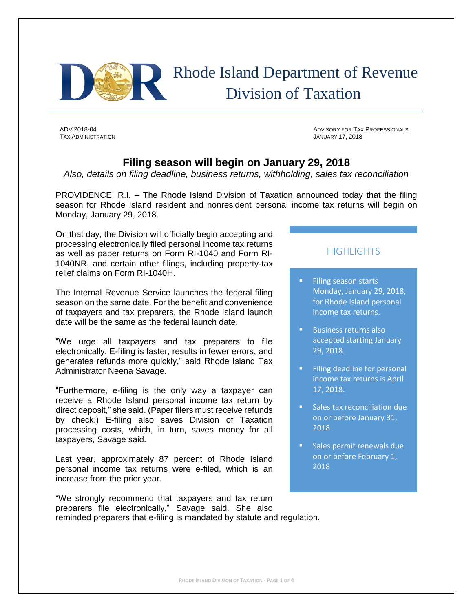

# Rhode Island Department of Revenue Division of Taxation

TAX ADMINISTRATION JANUARY 17, 2018

ADV 2018-04 ADVISORY FOR TAX PROFESSIONALS

## **Filing season will begin on January 29, 2018**

*Also, details on filing deadline, business returns, withholding, sales tax reconciliation* 

PROVIDENCE, R.I. – The Rhode Island Division of Taxation announced today that the filing season for Rhode Island resident and nonresident personal income tax returns will begin on Monday, January 29, 2018.

On that day, the Division will officially begin accepting and processing electronically filed personal income tax returns as well as paper returns on Form RI-1040 and Form RI-1040NR, and certain other filings, including property-tax relief claims on Form RI-1040H.

The Internal Revenue Service launches the federal filing season on the same date. For the benefit and convenience of taxpayers and tax preparers, the Rhode Island launch date will be the same as the federal launch date.

"We urge all taxpayers and tax preparers to file electronically. E-filing is faster, results in fewer errors, and generates refunds more quickly," said Rhode Island Tax Administrator Neena Savage.

"Furthermore, e-filing is the only way a taxpayer can receive a Rhode Island personal income tax return by direct deposit," she said. (Paper filers must receive refunds by check.) E-filing also saves Division of Taxation processing costs, which, in turn, saves money for all taxpayers, Savage said.

Last year, approximately 87 percent of Rhode Island personal income tax returns were e-filed, which is an increase from the prior year.

"We strongly recommend that taxpayers and tax return preparers file electronically," Savage said. She also reminded preparers that e-filing is mandated by statute and regulation.

### **HIGHLIGHTS**

- **Filing season starts** Monday, January 29, 2018, for Rhode Island personal income tax returns.
- **Business returns also** accepted starting January 29, 2018.
- **Filing deadline for personal** income tax returns is April 17, 2018.
- **Sales tax reconciliation due** on or before January 31, 2018
- **Sales permit renewals due** on or before February 1, 2018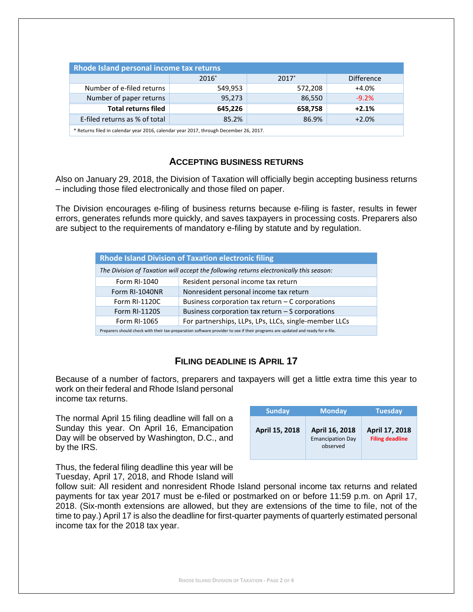| Rhode Island personal income tax returns                                              |         |         |                   |  |  |  |
|---------------------------------------------------------------------------------------|---------|---------|-------------------|--|--|--|
|                                                                                       | 2016*   | $2017*$ | <b>Difference</b> |  |  |  |
| Number of e-filed returns                                                             | 549,953 | 572,208 | $+4.0%$           |  |  |  |
| Number of paper returns                                                               | 95,273  | 86,550  | $-9.2%$           |  |  |  |
| <b>Total returns filed</b>                                                            | 645,226 | 658,758 | $+2.1%$           |  |  |  |
| E-filed returns as % of total                                                         | 85.2%   | 86.9%   | $+2.0%$           |  |  |  |
| * Returns filed in calendar year 2016, calendar year 2017, through December 26, 2017. |         |         |                   |  |  |  |

#### **ACCEPTING BUSINESS RETURNS**

Also on January 29, 2018, the Division of Taxation will officially begin accepting business returns – including those filed electronically and those filed on paper.

The Division encourages e-filing of business returns because e-filing is faster, results in fewer errors, generates refunds more quickly, and saves taxpayers in processing costs. Preparers also are subject to the requirements of mandatory e-filing by statute and by regulation.

| <b>Rhode Island Division of Taxation electronic filing</b>                                                                     |                                                       |  |  |  |
|--------------------------------------------------------------------------------------------------------------------------------|-------------------------------------------------------|--|--|--|
| The Division of Taxation will accept the following returns electronically this season:                                         |                                                       |  |  |  |
| Form RI-1040                                                                                                                   | Resident personal income tax return                   |  |  |  |
| Form RI-1040NR                                                                                                                 | Nonresident personal income tax return                |  |  |  |
| Form RI-1120C                                                                                                                  | Business corporation tax return $-$ C corporations    |  |  |  |
| <b>Form RI-1120S</b>                                                                                                           | Business corporation tax return $-$ S corporations    |  |  |  |
| Form RI-1065                                                                                                                   | For partnerships, LLPs, LPs, LLCs, single-member LLCs |  |  |  |
| Preparers should check with their tax-preparation software provider to see if their programs are updated and ready for e-file. |                                                       |  |  |  |

#### **FILING DEADLINE IS APRIL 17**

Because of a number of factors, preparers and taxpayers will get a little extra time this year to work on their federal and Rhode Island personal income tax returns.

The normal April 15 filing deadline will fall on a Sunday this year. On April 16, Emancipation Day will be observed by Washington, D.C., and by the IRS.

| <b>Sunday</b>  | <b>Monday</b>                                         | <b>Tuesday</b>                           |
|----------------|-------------------------------------------------------|------------------------------------------|
| April 15, 2018 | April 16, 2018<br><b>Emancipation Day</b><br>observed | April 17, 2018<br><b>Filing deadline</b> |

Thus, the federal filing deadline this year will be Tuesday, April 17, 2018, and Rhode Island will

follow suit: All resident and nonresident Rhode Island personal income tax returns and related payments for tax year 2017 must be e-filed or postmarked on or before 11:59 p.m. on April 17, 2018. (Six-month extensions are allowed, but they are extensions of the time to file, not of the time to pay.) April 17 is also the deadline for first-quarter payments of quarterly estimated personal income tax for the 2018 tax year.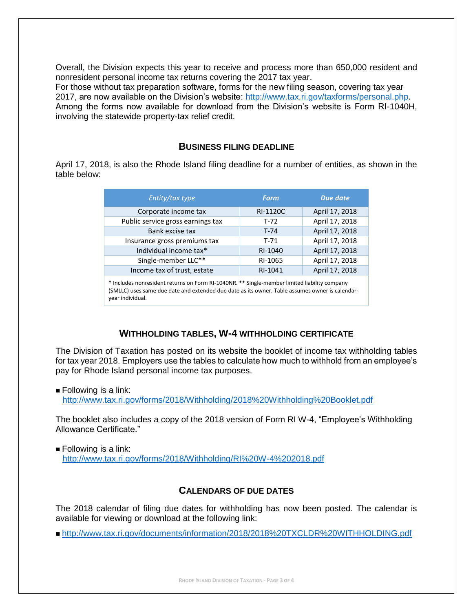Overall, the Division expects this year to receive and process more than 650,000 resident and nonresident personal income tax returns covering the 2017 tax year.

For those without tax preparation software, forms for the new filing season, covering tax year 2017, are now available on the Division's website: [http://www.tax.ri.gov/taxforms/personal.php.](http://www.tax.ri.gov/taxforms/personal.php) Among the forms now available for download from the Division's website is Form RI-1040H, involving the statewide property-tax relief credit.

#### **BUSINESS FILING DEADLINE**

April 17, 2018, is also the Rhode Island filing deadline for a number of entities, as shown in the table below:

| Entity/tax type                                                                              | <b>Form</b>     | Due date       |  |  |
|----------------------------------------------------------------------------------------------|-----------------|----------------|--|--|
| Corporate income tax                                                                         | <b>RI-1120C</b> | April 17, 2018 |  |  |
| Public service gross earnings tax                                                            | $T-72$          | April 17, 2018 |  |  |
| Bank excise tax                                                                              | $T-74$          | April 17, 2018 |  |  |
| Insurance gross premiums tax                                                                 | $T-71$          | April 17, 2018 |  |  |
| Individual income tax*                                                                       | RI-1040         | April 17, 2018 |  |  |
| Single-member LLC**                                                                          | RI-1065         | April 17, 2018 |  |  |
| Income tax of trust, estate                                                                  | RI-1041         | April 17, 2018 |  |  |
| * Includes nonresident returns on Form RI-1040NR. ** Single-member limited liability company |                 |                |  |  |

(SMLLC) uses same due date and extended due date as its owner. Table assumes owner is calendaryear individual.

## **WITHHOLDING TABLES, W-4 WITHHOLDING CERTIFICATE**

The Division of Taxation has posted on its website the booklet of income tax withholding tables for tax year 2018. Employers use the tables to calculate how much to withhold from an employee's pay for Rhode Island personal income tax purposes.

 $\blacksquare$  Following is a link:

<http://www.tax.ri.gov/forms/2018/Withholding/2018%20Withholding%20Booklet.pdf>

The booklet also includes a copy of the 2018 version of Form RI W-4, "Employee's Withholding Allowance Certificate."

 $\blacksquare$  Following is a link: <http://www.tax.ri.gov/forms/2018/Withholding/RI%20W-4%202018.pdf>

#### **CALENDARS OF DUE DATES**

The 2018 calendar of filing due dates for withholding has now been posted. The calendar is available for viewing or download at the following link:

<http://www.tax.ri.gov/documents/information/2018/2018%20TXCLDR%20WITHHOLDING.pdf>